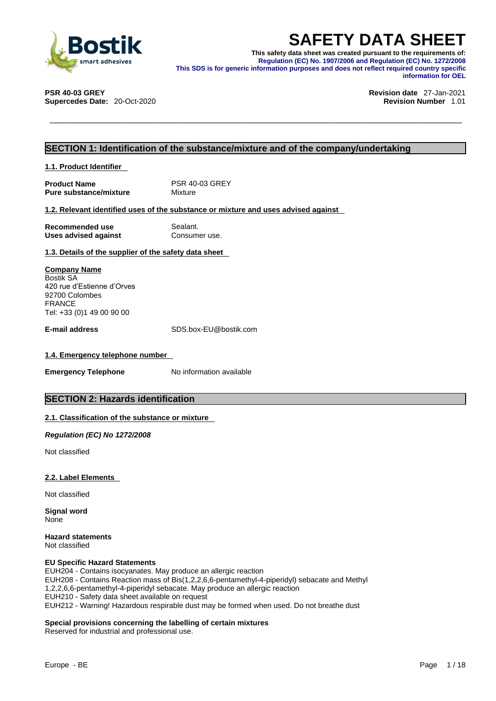

**SAFETY DATA SHEET**<br>
This safety data sheet was created pursuant to the requirements of:<br>
Regulation (EC) No. 1907/2006 and Regulation (EC) No. 1272/2008<br>
This SDS is for generic information purposes and does not reflect r **This safety data sheet was created pursuant to the requirements of: Regulation (EC) No. 1907/2006 and Regulation (EC) No. 1272/2008 This SDS is for generic information purposes and does not reflect required country specific information for OEL** 

**Supercedes Date: 20-Oct-2020** 

**PSR 40-03 GREY Revision date** 27-Jan-2021

### **SECTION 1: Identification of the substance/mixture and of the company/undertaking**

**1.1. Product Identifier** 

**Product Name** PSR 40-03 GREY<br> **Pure substance/mixture** Mixture **Pure substance/mixture** 

### **1.2. Relevant identified uses of the substance or mixture and uses advised against**

| Recommended use             | Sealant.      |
|-----------------------------|---------------|
| <b>Uses advised against</b> | Consumer use. |

### **1.3. Details of the supplier of the safety data sheet**

**Company Name** Bostik SA 420 rue d'Estienne d'Orves 92700 Colombes FRANCE Tel: +33 (0)1 49 00 90 00

**E-mail address** SDS.box-EU@bostik.com

### **1.4. Emergency telephone number**

**Emergency Telephone** No information available

### **SECTION 2: Hazards identification**

### **2.1. Classification of the substance or mixture**

*Regulation (EC) No 1272/2008* 

Not classified

### **2.2. Label Elements**

Not classified

**Signal word** None

**Hazard statements** Not classified

### **EU Specific Hazard Statements**

EUH204 - Contains isocyanates. May produce an allergic reaction EUH208 - Contains Reaction mass of Bis(1,2,2,6,6-pentamethyl-4-piperidyl) sebacate and Methyl 1,2,2,6,6-pentamethyl-4-piperidyl sebacate. May produce an allergic reaction EUH210 - Safety data sheet available on request EUH212 - Warning! Hazardous respirable dust may be formed when used. Do not breathe dust

### **Special provisions concerning the labelling of certain mixtures**

Reserved for industrial and professional use.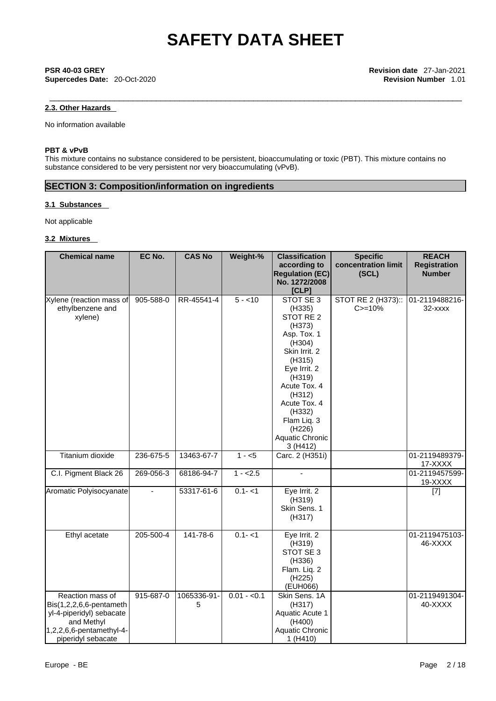\_\_\_\_\_\_\_\_\_\_\_\_\_\_\_\_\_\_\_\_\_\_\_\_\_\_\_\_\_\_\_\_\_\_\_\_\_\_\_\_\_\_\_\_\_\_\_\_\_\_\_\_\_\_\_\_\_\_\_\_\_\_\_\_\_\_\_\_\_\_\_\_\_\_\_\_\_\_\_\_\_\_\_\_\_\_\_\_\_ **PSR 40-03 GREY Revision date** 27-Jan-2021 **Supercedes Date:** 20-Oct-2020 **Revision Number** 1.01

## **2.3. Other Hazards**

No information available

### **PBT & vPvB**

This mixture contains no substance considered to be persistent, bioaccumulating or toxic (PBT). This mixture contains no substance considered to be very persistent nor very bioaccumulating (vPvB).

## **SECTION 3: Composition/information on ingredients**

### **3.1 Substances**

Not applicable

### **3.2 Mixtures**

| <b>Chemical name</b>       | EC No.         | <b>CAS No</b> | Weight-%     | <b>Classification</b>    | <b>Specific</b>     | <b>REACH</b>        |
|----------------------------|----------------|---------------|--------------|--------------------------|---------------------|---------------------|
|                            |                |               |              | according to             | concentration limit | <b>Registration</b> |
|                            |                |               |              | <b>Regulation (EC)</b>   | (SCL)               | <b>Number</b>       |
|                            |                |               |              | No. 1272/2008            |                     |                     |
|                            |                |               |              | [CLP]                    |                     |                     |
| Xylene (reaction mass of   | 905-588-0      | RR-45541-4    | $5 - 10$     | STOT SE 3                | STOT RE 2 (H373)::  | 01-2119488216-      |
| ethylbenzene and           |                |               |              | (H335)                   | $C = 10%$           | 32-xxxx             |
| xylene)                    |                |               |              | STOT RE 2                |                     |                     |
|                            |                |               |              | (H373)                   |                     |                     |
|                            |                |               |              | Asp. Tox. 1              |                     |                     |
|                            |                |               |              | (H304)                   |                     |                     |
|                            |                |               |              | Skin Irrit. 2            |                     |                     |
|                            |                |               |              | (H315)                   |                     |                     |
|                            |                |               |              | Eye Irrit. 2             |                     |                     |
|                            |                |               |              | (H319)                   |                     |                     |
|                            |                |               |              | Acute Tox. 4             |                     |                     |
|                            |                |               |              | (H312)                   |                     |                     |
|                            |                |               |              | Acute Tox. 4             |                     |                     |
|                            |                |               |              | (H332)                   |                     |                     |
|                            |                |               |              | Flam Liq. 3<br>(H226)    |                     |                     |
|                            |                |               |              | Aquatic Chronic          |                     |                     |
|                            |                |               |              | 3 (H412)                 |                     |                     |
| Titanium dioxide           | 236-675-5      | 13463-67-7    | $1 - 5$      | Carc. 2 (H351i)          |                     | 01-2119489379-      |
|                            |                |               |              |                          |                     | 17-XXXX             |
| C.I. Pigment Black 26      | 269-056-3      | 68186-94-7    | $1 - 2.5$    | $\overline{\phantom{a}}$ |                     | 01-2119457599-      |
|                            |                |               |              |                          |                     | 19-XXXX             |
| Aromatic Polyisocyanate    | $\blacksquare$ | 53317-61-6    | $0.1 - 1$    | Eye Irrit. 2             |                     | $[7]$               |
|                            |                |               |              | (H319)                   |                     |                     |
|                            |                |               |              | Skin Sens. 1             |                     |                     |
|                            |                |               |              | (H317)                   |                     |                     |
|                            |                |               |              |                          |                     |                     |
| Ethyl acetate              | 205-500-4      | 141-78-6      | $0.1 - 1$    | Eye Irrit. 2             |                     | 01-2119475103-      |
|                            |                |               |              | (H319)                   |                     | 46-XXXX             |
|                            |                |               |              | STOT SE 3                |                     |                     |
|                            |                |               |              | (H336)                   |                     |                     |
|                            |                |               |              | Flam. Liq. 2             |                     |                     |
|                            |                |               |              | (H225)                   |                     |                     |
|                            |                |               |              | (EUH066)                 |                     |                     |
| Reaction mass of           | 915-687-0      | 1065336-91-   | $0.01 - 0.1$ | Skin Sens. 1A            |                     | 01-2119491304-      |
| $Bis(1,2,2,6,6$ -pentameth |                | 5             |              | (H317)                   |                     | 40-XXXX             |
| yl-4-piperidyl) sebacate   |                |               |              | Aquatic Acute 1          |                     |                     |
| and Methyl                 |                |               |              | (H400)                   |                     |                     |
| 1,2,2,6,6-pentamethyl-4-   |                |               |              | Aquatic Chronic          |                     |                     |
| piperidyl sebacate         |                |               |              | 1(H410)                  |                     |                     |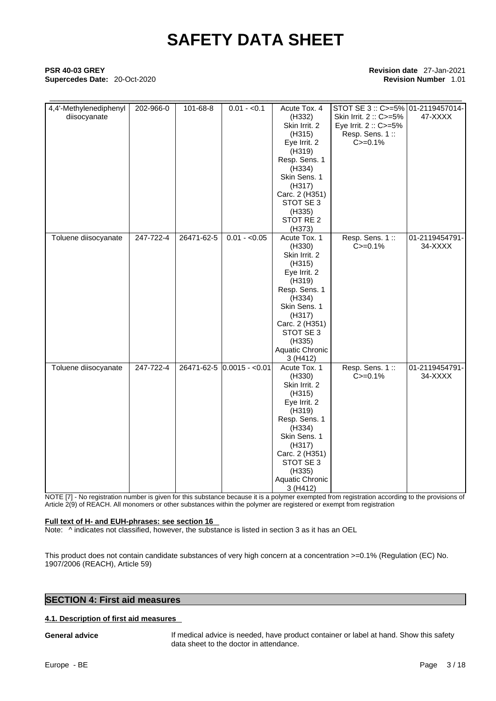## \_\_\_\_\_\_\_\_\_\_\_\_\_\_\_\_\_\_\_\_\_\_\_\_\_\_\_\_\_\_\_\_\_\_\_\_\_\_\_\_\_\_\_\_\_\_\_\_\_\_\_\_\_\_\_\_\_\_\_\_\_\_\_\_\_\_\_\_\_\_\_\_\_\_\_\_\_\_\_\_\_\_\_\_\_\_\_\_\_ **PSR 40-03 GREY Revision date** 27-Jan-2021 **Supercedes Date:** 20-Oct-2020 **Revision Number** 1.01

| 4,4'-Methylenediphenyl<br>diisocyanate | 202-966-0 | 101-68-8   | $0.01 - 0.1$               | Acute Tox. 4<br>(H332)<br>Skin Irrit. 2<br>(H315)<br>Eye Irrit. 2<br>(H319)<br>Resp. Sens. 1<br>(H334)<br>Skin Sens. 1<br>(H317)<br>Carc. 2 (H351)<br>STOT SE 3<br>(H335)<br>STOT RE 2<br>(H373)         | STOT SE 3 :: C>=5% 01-2119457014-<br>Skin Irrit. 2: C>=5%<br>Eye Irrit. 2 :: C>=5%<br>Resp. Sens. 1::<br>$C = 0.1%$ | 47-XXXX                   |
|----------------------------------------|-----------|------------|----------------------------|----------------------------------------------------------------------------------------------------------------------------------------------------------------------------------------------------------|---------------------------------------------------------------------------------------------------------------------|---------------------------|
| Toluene diisocyanate                   | 247-722-4 | 26471-62-5 | $0.01 - 0.05$              | Acute Tox. 1<br>(H330)<br>Skin Irrit. 2<br>(H315)<br>Eye Irrit. 2<br>(H319)<br>Resp. Sens. 1<br>(H334)<br>Skin Sens. 1<br>(H317)<br>Carc. 2 (H351)<br>STOT SE 3<br>(H335)<br>Aquatic Chronic<br>3 (H412) | Resp. Sens. 1::<br>$C = 0.1%$                                                                                       | 01-2119454791-<br>34-XXXX |
| Toluene diisocyanate                   | 247-722-4 |            | 26471-62-5 0.0015 - < 0.01 | Acute Tox. 1<br>(H330)<br>Skin Irrit. 2<br>(H315)<br>Eye Irrit. 2<br>(H319)<br>Resp. Sens. 1<br>(H334)<br>Skin Sens. 1<br>(H317)<br>Carc. 2 (H351)<br>STOT SE 3<br>(H335)<br>Aquatic Chronic<br>3 (H412) | Resp. Sens. 1::<br>$C = 0.1%$                                                                                       | 01-2119454791-<br>34-XXXX |

NOTE [7] - No registration number is given for this substance because it is a polymer exempted from registration according to the provisions of Article 2(9) of REACH. All monomers or other substances within the polymer are registered or exempt from registration

### **Full text of H- and EUH-phrases: see section 16**

Note:  $\wedge$  indicates not classified, however, the substance is listed in section 3 as it has an OEL

This product does not contain candidate substances of very high concern at a concentration >=0.1% (Regulation (EC) No. 1907/2006 (REACH), Article 59)

## **SECTION 4: First aid measures**

### **4.1. Description of first aid measures**

**General advice** If medical advice is needed, have product container or label at hand. Show this safety data sheet to the doctor in attendance.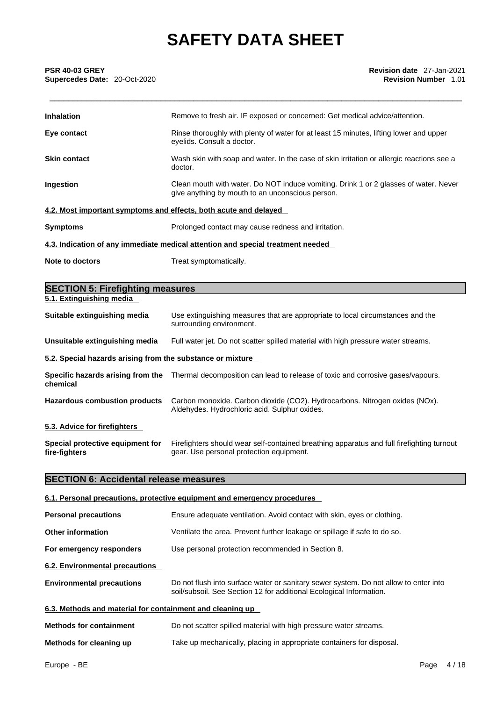| <b>Inhalation</b>                                                | Remove to fresh air. IF exposed or concerned: Get medical advice/attention.                                                              |
|------------------------------------------------------------------|------------------------------------------------------------------------------------------------------------------------------------------|
| Eye contact                                                      | Rinse thoroughly with plenty of water for at least 15 minutes, lifting lower and upper<br>eyelids. Consult a doctor.                     |
| <b>Skin contact</b>                                              | Wash skin with soap and water. In the case of skin irritation or allergic reactions see a<br>doctor.                                     |
| Ingestion                                                        | Clean mouth with water. Do NOT induce vomiting. Drink 1 or 2 glasses of water. Never<br>give anything by mouth to an unconscious person. |
| 4.2. Most important symptoms and effects, both acute and delayed |                                                                                                                                          |
| <b>Symptoms</b>                                                  | Prolonged contact may cause redness and irritation.                                                                                      |
|                                                                  | 4.3. Indication of any immediate medical attention and special treatment needed                                                          |
| Note to doctors                                                  | Treat symptomatically.                                                                                                                   |

| <b>SECTION 5: Firefighting measures</b>                    |                                                                                                                                       |
|------------------------------------------------------------|---------------------------------------------------------------------------------------------------------------------------------------|
| 5.1. Extinguishing media                                   |                                                                                                                                       |
| Suitable extinguishing media                               | Use extinguishing measures that are appropriate to local circumstances and the<br>surrounding environment.                            |
| Unsuitable extinguishing media                             | Full water jet. Do not scatter spilled material with high pressure water streams.                                                     |
| 5.2. Special hazards arising from the substance or mixture |                                                                                                                                       |
| chemical                                                   | Specific hazards arising from the Thermal decomposition can lead to release of toxic and corrosive gases/vapours.                     |
| <b>Hazardous combustion products</b>                       | Carbon monoxide. Carbon dioxide (CO2). Hydrocarbons. Nitrogen oxides (NOx).<br>Aldehydes. Hydrochloric acid. Sulphur oxides.          |
| 5.3. Advice for firefighters                               |                                                                                                                                       |
| Special protective equipment for<br>fire-fighters          | Firefighters should wear self-contained breathing apparatus and full firefighting turnout<br>gear. Use personal protection equipment. |

### **SECTION 6: Accidental release measures**

## **6.1. Personal precautions, protective equipment and emergency procedures Personal precautions** Ensure adequate ventilation. Avoid contact with skin, eyes or clothing. **Other information** Ventilate the area. Prevent further leakage or spillage if safe to do so. **For emergency responders** Use personal protection recommended in Section 8. **6.2. Environmental precautions**

**Environmental precautions** Do not flush into surface water or sanitary sewer system. Do not allow to enter into soil/subsoil. See Section 12 for additional Ecological Information.

## **6.3. Methods and material for containment and cleaning up**

| <b>Methods for containment</b> | Do not scatter spilled material with high pressure water streams.     |  |  |
|--------------------------------|-----------------------------------------------------------------------|--|--|
| Mathade for alconing un        | Take up mochanically, placing in appropriate containers for dispessal |  |  |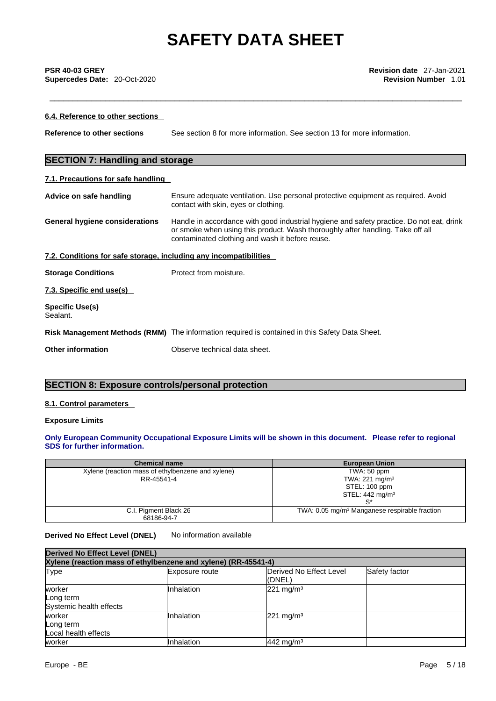## \_\_\_\_\_\_\_\_\_\_\_\_\_\_\_\_\_\_\_\_\_\_\_\_\_\_\_\_\_\_\_\_\_\_\_\_\_\_\_\_\_\_\_\_\_\_\_\_\_\_\_\_\_\_\_\_\_\_\_\_\_\_\_\_\_\_\_\_\_\_\_\_\_\_\_\_\_\_\_\_\_\_\_\_\_\_\_\_\_ **PSR 40-03 GREY Revision date** 27-Jan-2021 **Supercedes Date:** 20-Oct-2020 **Revision Number** 1.01

| 6.4. Reference to other sections                                  |                                                                                                                                                                                                                               |
|-------------------------------------------------------------------|-------------------------------------------------------------------------------------------------------------------------------------------------------------------------------------------------------------------------------|
| <b>Reference to other sections</b>                                | See section 8 for more information. See section 13 for more information.                                                                                                                                                      |
| <b>SECTION 7: Handling and storage</b>                            |                                                                                                                                                                                                                               |
| 7.1. Precautions for safe handling                                |                                                                                                                                                                                                                               |
| Advice on safe handling                                           | Ensure adequate ventilation. Use personal protective equipment as required. Avoid<br>contact with skin, eyes or clothing.                                                                                                     |
| General hygiene considerations                                    | Handle in accordance with good industrial hygiene and safety practice. Do not eat, drink<br>or smoke when using this product. Wash thoroughly after handling. Take off all<br>contaminated clothing and wash it before reuse. |
| 7.2. Conditions for safe storage, including any incompatibilities |                                                                                                                                                                                                                               |
| <b>Storage Conditions</b>                                         | Protect from moisture.                                                                                                                                                                                                        |
| 7.3. Specific end use(s)                                          |                                                                                                                                                                                                                               |
| <b>Specific Use(s)</b><br>Sealant.                                |                                                                                                                                                                                                                               |
|                                                                   | Risk Management Methods (RMM) The information required is contained in this Safety Data Sheet.                                                                                                                                |
| Other information                                                 | Observe technical data sheet.                                                                                                                                                                                                 |

## **SECTION 8: Exposure controls/personal protection**

### **8.1. Control parameters**

### **Exposure Limits**

### **Only European Community Occupational Exposure Limits will be shown in this document. Please refer to regional SDS for further information.**

| <b>Chemical name</b>                              | <b>European Union</b>                                     |
|---------------------------------------------------|-----------------------------------------------------------|
| Xylene (reaction mass of ethylbenzene and xylene) | TWA: 50 ppm                                               |
| RR-45541-4                                        | TWA: 221 mg/m <sup>3</sup>                                |
|                                                   | STEL: 100 ppm                                             |
|                                                   | STEL: $442 \text{ mg/m}^3$                                |
|                                                   |                                                           |
| C.I. Pigment Black 26                             | TWA: 0.05 mg/m <sup>3</sup> Manganese respirable fraction |
| 68186-94-7                                        |                                                           |

### **Derived No Effect Level (DNEL)** No information available

| <b>Derived No Effect Level (DNEL)</b>                          |                |                                           |               |
|----------------------------------------------------------------|----------------|-------------------------------------------|---------------|
| Xylene (reaction mass of ethylbenzene and xylene) (RR-45541-4) |                |                                           |               |
| <b>Type</b>                                                    | Exposure route | <b>IDerived No Effect Level</b><br>(DNEL) | Safety factor |
| worker<br>Long term<br>Systemic health effects                 | Inhalation     | $221$ mg/m <sup>3</sup>                   |               |
| worker<br>Long term<br>Local health effects                    | Inhalation     | $221 \text{ mg/m}^3$                      |               |
| worker                                                         | Inhalation     | $442$ mg/m <sup>3</sup>                   |               |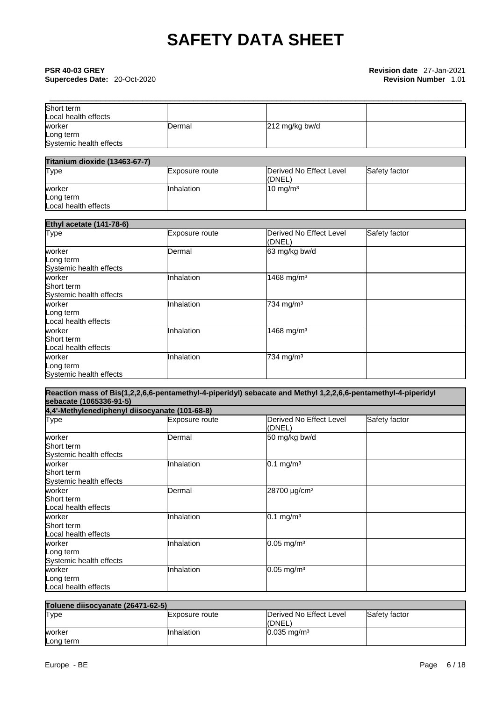## **Supercedes Date: 20-Oct-2020**

| Short term              |         |                |  |
|-------------------------|---------|----------------|--|
| Local health effects    |         |                |  |
| worker                  | IDermal | 212 mg/kg bw/d |  |
| Long term               |         |                |  |
| Systemic health effects |         |                |  |

| <b>Titanium dioxide (13463-67-7)</b> |                 |                         |               |  |  |
|--------------------------------------|-----------------|-------------------------|---------------|--|--|
| Type                                 | IExposure route | Derived No Effect Level | Safety factor |  |  |
|                                      |                 | (DNEL)                  |               |  |  |
| worker                               | IInhalation     | $10 \text{ mg/m}^3$     |               |  |  |
| Long term                            |                 |                         |               |  |  |
| Local health effects                 |                 |                         |               |  |  |

| <b>Ethyl acetate (141-78-6)</b>                 |                |                                   |               |  |  |
|-------------------------------------------------|----------------|-----------------------------------|---------------|--|--|
| <b>Type</b>                                     | Exposure route | Derived No Effect Level<br>(DNEL) | Safety factor |  |  |
| worker<br>Long term<br>Systemic health effects  | Dermal         | 63 mg/kg bw/d                     |               |  |  |
| worker<br>Short term<br>Systemic health effects | Inhalation     | 1468 mg/m <sup>3</sup>            |               |  |  |
| worker<br>Long term<br>Local health effects     | Inhalation     | 734 mg/m <sup>3</sup>             |               |  |  |
| worker<br>Short term<br>Local health effects    | Inhalation     | 1468 mg/m <sup>3</sup>            |               |  |  |
| worker<br>Long term<br>Systemic health effects  | Inhalation     | 734 mg/m <sup>3</sup>             |               |  |  |

### **Reaction mass of Bis(1,2,2,6,6-pentamethyl-4-piperidyl) sebacate and Methyl 1,2,2,6,6-pentamethyl-4-piperidyl sebacate (1065336-91-5)**

| 4,4'-Methylenediphenyl diisocyanate (101-68-8)  |                |                                   |               |
|-------------------------------------------------|----------------|-----------------------------------|---------------|
| <b>Type</b>                                     | Exposure route | Derived No Effect Level<br>(DNEL) | Safety factor |
| worker<br>Short term<br>Systemic health effects | Dermal         | 50 mg/kg bw/d                     |               |
| worker<br>Short term<br>Systemic health effects | Inhalation     | $0.1$ mg/m <sup>3</sup>           |               |
| worker<br>Short term<br>Local health effects    | Dermal         | 28700 µg/cm <sup>2</sup>          |               |
| worker<br>Short term<br>Local health effects    | Inhalation     | $0.1$ mg/m <sup>3</sup>           |               |
| worker<br>Long term<br>Systemic health effects  | Inhalation     | $0.05$ mg/m <sup>3</sup>          |               |
| worker<br>Long term<br>Local health effects     | Inhalation     | $0.05$ mg/m <sup>3</sup>          |               |

| Toluene diisocyanate (26471-62-5) |                       |                           |                      |
|-----------------------------------|-----------------------|---------------------------|----------------------|
| <b>Type</b>                       | <b>Exposure route</b> | Derived No Effect Level   | <b>Safety factor</b> |
|                                   |                       | (DNEL)                    |                      |
| worker                            | Inhalation            | $0.035 \,\mathrm{mg/m^3}$ |                      |
| Long term                         |                       |                           |                      |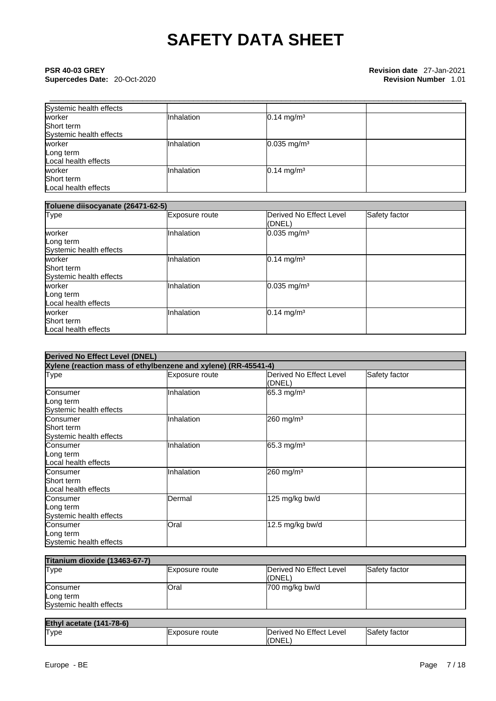# \_\_\_\_\_\_\_\_\_\_\_\_\_\_\_\_\_\_\_\_\_\_\_\_\_\_\_\_\_\_\_\_\_\_\_\_\_\_\_\_\_\_\_\_\_\_\_\_\_\_\_\_\_\_\_\_\_\_\_\_\_\_\_\_\_\_\_\_\_\_\_\_\_\_\_\_\_\_\_\_\_\_\_\_\_\_\_\_\_ **PSR 40-03 GREY Revision date** 27-Jan-2021

| Systemic health effects |            |                           |  |
|-------------------------|------------|---------------------------|--|
| worker                  | Inhalation | $0.14$ mg/m <sup>3</sup>  |  |
| Short term              |            |                           |  |
| Systemic health effects |            |                           |  |
| worker                  | Inhalation | $0.035$ mg/m <sup>3</sup> |  |
| Long term               |            |                           |  |
| Local health effects    |            |                           |  |
| worker                  | Inhalation | $0.14$ mg/m <sup>3</sup>  |  |
| Short term              |            |                           |  |
| Local health effects    |            |                           |  |

| Toluene diisocyanate (26471-62-5)               |                |                                   |               |
|-------------------------------------------------|----------------|-----------------------------------|---------------|
| Type                                            | Exposure route | Derived No Effect Level<br>(DNEL) | Safety factor |
| worker<br>Long term<br>Systemic health effects  | Inhalation     | $0.035$ mg/m <sup>3</sup>         |               |
| worker<br>Short term<br>Systemic health effects | Inhalation     | $0.14$ mg/m <sup>3</sup>          |               |
| worker<br>Long term<br>Local health effects     | Inhalation     | $0.035$ mg/m <sup>3</sup>         |               |
| worker<br>Short term<br>Local health effects    | Inhalation     | $0.14$ mg/m <sup>3</sup>          |               |

| <b>Derived No Effect Level (DNEL)</b>                          |                |                                           |               |
|----------------------------------------------------------------|----------------|-------------------------------------------|---------------|
| Xylene (reaction mass of ethylbenzene and xylene) (RR-45541-4) |                |                                           |               |
| Type                                                           | Exposure route | <b>IDerived No Effect Level</b><br>(DNEL) | Safety factor |
| Consumer<br>Long term<br>Systemic health effects               | Inhalation     | 65.3 mg/m <sup>3</sup>                    |               |
| Consumer<br>Short term<br>Systemic health effects              | Inhalation     | $260$ mg/m <sup>3</sup>                   |               |
| Consumer<br>Long term<br>Local health effects                  | Inhalation     | 65.3 mg/m <sup>3</sup>                    |               |
| Consumer<br>Short term<br>Local health effects                 | Inhalation     | 260 mg/m <sup>3</sup>                     |               |
| Consumer<br>Long term<br>Systemic health effects               | Dermal         | 125 mg/kg bw/d                            |               |
| Consumer<br>Long term<br>Systemic health effects               | Oral           | 12.5 mg/kg bw/d                           |               |

| <b>Titanium dioxide (13463-67-7)</b> |                |                                    |               |
|--------------------------------------|----------------|------------------------------------|---------------|
| Type                                 | Exposure route | Derived No Effect Level<br>l(DNEL) | Safety factor |
| Consumer                             | <b>Oral</b>    | 700 mg/kg bw/d                     |               |
| Long term                            |                |                                    |               |
| Systemic health effects              |                |                                    |               |

| <b>Ethyl acetate (141-78-6)</b> |                        |                                  |                |
|---------------------------------|------------------------|----------------------------------|----------------|
| <b>Type</b>                     | <b>IExposure</b> route | Derived No Effect Level<br>(DNEL | .Safety factor |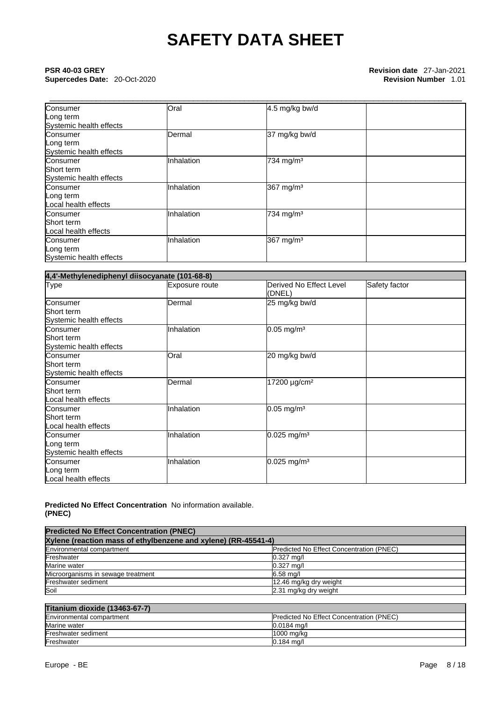## \_\_\_\_\_\_\_\_\_\_\_\_\_\_\_\_\_\_\_\_\_\_\_\_\_\_\_\_\_\_\_\_\_\_\_\_\_\_\_\_\_\_\_\_\_\_\_\_\_\_\_\_\_\_\_\_\_\_\_\_\_\_\_\_\_\_\_\_\_\_\_\_\_\_\_\_\_\_\_\_\_\_\_\_\_\_\_\_\_ **PSR 40-03 GREY Revision date** 27-Jan-2021 **Supercedes Date:** 20-Oct-2020 **Revision Number** 1.01

| Consumer                | Oral       | 4.5 mg/kg bw/d        |  |
|-------------------------|------------|-----------------------|--|
| Long term               |            |                       |  |
| Systemic health effects |            |                       |  |
| Consumer                | Dermal     | 37 mg/kg bw/d         |  |
| Long term               |            |                       |  |
| Systemic health effects |            |                       |  |
| Consumer                | Inhalation | 734 mg/m <sup>3</sup> |  |
| Short term              |            |                       |  |
| Systemic health effects |            |                       |  |
| Consumer                | Inhalation | 367 mg/m <sup>3</sup> |  |
| Long term               |            |                       |  |
| Local health effects    |            |                       |  |
| Consumer                | Inhalation | 734 mg/m <sup>3</sup> |  |
| Short term              |            |                       |  |
| Local health effects    |            |                       |  |
| Consumer                | Inhalation | 367 mg/m <sup>3</sup> |  |
| Long term               |            |                       |  |
| Systemic health effects |            |                       |  |

| 4,4'-Methylenediphenyl diisocyanate (101-68-8) |                |                                   |               |
|------------------------------------------------|----------------|-----------------------------------|---------------|
| <b>Type</b>                                    | Exposure route | Derived No Effect Level<br>(DNEL) | Safety factor |
| Consumer                                       | Dermal         | 25 mg/kg bw/d                     |               |
| Short term                                     |                |                                   |               |
| Systemic health effects                        |                |                                   |               |
| Consumer                                       | Inhalation     | $0.05$ mg/m <sup>3</sup>          |               |
| Short term                                     |                |                                   |               |
| Systemic health effects                        |                |                                   |               |
| Consumer                                       | Oral           | 20 mg/kg bw/d                     |               |
| Short term                                     |                |                                   |               |
| Systemic health effects                        |                |                                   |               |
| Consumer                                       | Dermal         | 17200 $\mu$ g/cm <sup>2</sup>     |               |
| Short term                                     |                |                                   |               |
| Local health effects                           |                |                                   |               |
| Consumer                                       | Inhalation     | $0.05$ mg/m <sup>3</sup>          |               |
| Short term                                     |                |                                   |               |
| Local health effects                           |                |                                   |               |
| Consumer                                       | Inhalation     | $0.025$ mg/m <sup>3</sup>         |               |
| Long term                                      |                |                                   |               |
| Systemic health effects                        |                |                                   |               |
| Consumer                                       | Inhalation     | $0.025$ mg/m <sup>3</sup>         |               |
| Long term                                      |                |                                   |               |
| Local health effects                           |                |                                   |               |

### **Predicted No Effect Concentration** No information available. **(PNEC)**

| <b>Predicted No Effect Concentration (PNEC)</b>                |                                          |  |
|----------------------------------------------------------------|------------------------------------------|--|
| Xylene (reaction mass of ethylbenzene and xylene) (RR-45541-4) |                                          |  |
| Environmental compartment                                      | Predicted No Effect Concentration (PNEC) |  |
| Freshwater                                                     | $0.327$ ma/l                             |  |
| Marine water                                                   | $0.327$ mg/l                             |  |
| Microorganisms in sewage treatment                             | $6.58$ mg/                               |  |
| Freshwater sediment                                            | 12.46 mg/kg dry weight                   |  |
| Soil                                                           | 2.31 mg/kg dry weight                    |  |

## **Titanium dioxide (13463-67-7)**

| ---------                 |                                                  |  |
|---------------------------|--------------------------------------------------|--|
| Environmental compartment | <b>IPredicted No Effect Concentration (PNEC)</b> |  |
| Marine water              | $0.0184$ ma/                                     |  |
| Freshwater sediment       | 11000 ma/ka                                      |  |
| Freshwater                | $0.184$ mg/l                                     |  |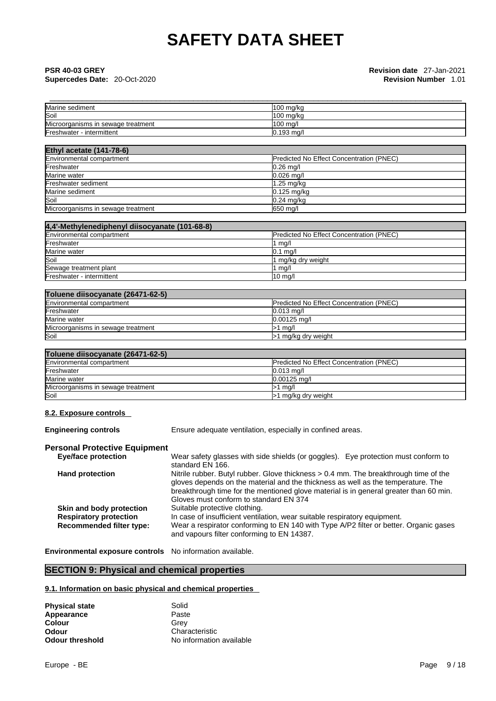## \_\_\_\_\_\_\_\_\_\_\_\_\_\_\_\_\_\_\_\_\_\_\_\_\_\_\_\_\_\_\_\_\_\_\_\_\_\_\_\_\_\_\_\_\_\_\_\_\_\_\_\_\_\_\_\_\_\_\_\_\_\_\_\_\_\_\_\_\_\_\_\_\_\_\_\_\_\_\_\_\_\_\_\_\_\_\_\_\_ **PSR 40-03 GREY Revision date** 27-Jan-2021 **Supercedes Date:** 20-Oct-2020 **Revision Number** 1.01

| Marine sediment                    | $100$ mg/kg  |
|------------------------------------|--------------|
| Soil                               | $100$ mg/kg  |
| Microorganisms in sewage treatment | 100 mg/l     |
| Freshwater - intermittent          | $0.193$ mg/l |

| <b>Ethyl acetate (141-78-6)</b>    |                                          |  |
|------------------------------------|------------------------------------------|--|
| Environmental compartment          | Predicted No Effect Concentration (PNEC) |  |
| Freshwater                         | $0.26$ mg/                               |  |
| Marine water                       | $0.026$ mg/l                             |  |
| Freshwater sediment                | $1.25 \text{ mg/kg}$                     |  |
| Marine sediment                    | 0.125 mg/kg                              |  |
| Soil                               | $0.24$ mg/kg                             |  |
| Microorganisms in sewage treatment | 650 mg/l                                 |  |

| 4,4'-Methylenediphenyl diisocyanate (101-68-8) |                                                 |  |
|------------------------------------------------|-------------------------------------------------|--|
| Environmental compartment                      | <b>Predicted No Effect Concentration (PNEC)</b> |  |
| Freshwater                                     | ∣ ma∕l                                          |  |
| Marine water                                   | $0.1$ ma/l                                      |  |
| Soil                                           | 1 mg/kg dry weight                              |  |
| Sewage treatment plant                         | mg/l                                            |  |
| Freshwater - intermittent                      | $10 \text{ mg/l}$                               |  |

| Toluene diisocyanate (26471-62-5) |  |
|-----------------------------------|--|
| Environmental compartment         |  |

| Environmental compartment          | <b>Predicted No Effect Concentration (PNEC)</b> |
|------------------------------------|-------------------------------------------------|
| Freshwater                         | $0.013 \text{ ma/l}$                            |
| Marine water                       | $0.00125$ ma/l                                  |
| Microorganisms in sewage treatment | ma/l                                            |
| Soil                               | ∙1 mg/kg dry weight                             |

## **Toluene diisocyanate (26471-62-5)**

| HURGHU GHJUUVAHAN ILUTI I VL VI    |                                                 |  |
|------------------------------------|-------------------------------------------------|--|
| Environmental compartment          | <b>Predicted No Effect Concentration (PNEC)</b> |  |
| Freshwater                         | $0.013$ ma/l                                    |  |
| Marine water                       | $0.00125$ ma/l                                  |  |
| Microorganisms in sewage treatment | ma/l                                            |  |
| Soil                               | >1 mg/kg dry weight                             |  |

### **8.2. Exposure controls**

**Engineering controls** Ensure adequate ventilation, especially in confined areas.

### **Personal Protective Equipment**

| <b>Eye/face protection</b>      | Wear safety glasses with side shields (or goggles). Eye protection must conform to    |
|---------------------------------|---------------------------------------------------------------------------------------|
|                                 | standard EN 166.                                                                      |
| <b>Hand protection</b>          | Nitrile rubber. Butyl rubber. Glove thickness > 0.4 mm. The breakthrough time of the  |
|                                 | gloves depends on the material and the thickness as well as the temperature. The      |
|                                 | breakthrough time for the mentioned glove material is in general greater than 60 min. |
|                                 | Gloves must conform to standard EN 374                                                |
| Skin and body protection        | Suitable protective clothing.                                                         |
| <b>Respiratory protection</b>   | In case of insufficient ventilation, wear suitable respiratory equipment.             |
| <b>Recommended filter type:</b> | Wear a respirator conforming to EN 140 with Type A/P2 filter or better. Organic gases |
|                                 | and vapours filter conforming to EN 14387.                                            |
|                                 |                                                                                       |

**Environmental exposure controls** No information available.

## **SECTION 9: Physical and chemical properties**

### **9.1. Information on basic physical and chemical properties**

| <b>Physical state</b>  | Solid                    |
|------------------------|--------------------------|
| Appearance             | Paste                    |
| Colour                 | Grev                     |
| Odour                  | Characteristic           |
| <b>Odour threshold</b> | No information available |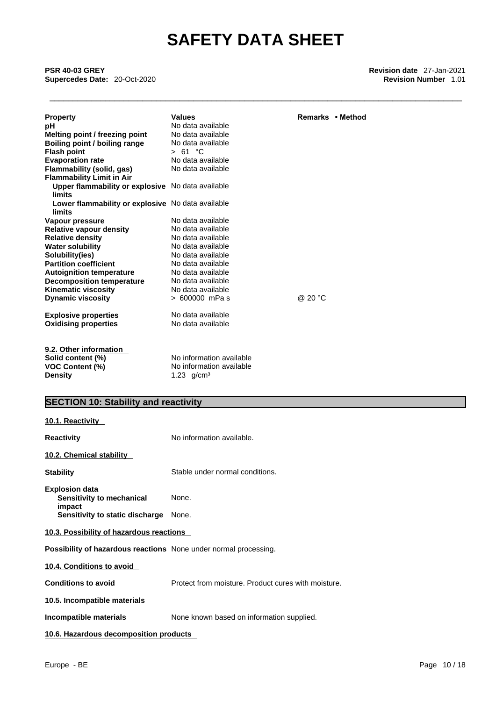\_\_\_\_\_\_\_\_\_\_\_\_\_\_\_\_\_\_\_\_\_\_\_\_\_\_\_\_\_\_\_\_\_\_\_\_\_\_\_\_\_\_\_\_\_\_\_\_\_\_\_\_\_\_\_\_\_\_\_\_\_\_\_\_\_\_\_\_\_\_\_\_\_\_\_\_\_\_\_\_\_\_\_\_\_\_\_\_\_ **PSR 40-03 GREY Revision date** 27-Jan-2021 **Supercedes Date: 20-Oct-2020** 

| <b>Property</b><br>рH<br>Melting point / freezing point<br>Boiling point / boiling range<br><b>Flash point</b><br><b>Evaporation rate</b><br>Flammability (solid, gas)<br><b>Flammability Limit in Air</b><br>Upper flammability or explosive No data available<br><b>limits</b> | <b>Values</b><br>No data available<br>No data available<br>No data available<br>> 61 °C<br>No data available<br>No data available | Remarks • Method |
|----------------------------------------------------------------------------------------------------------------------------------------------------------------------------------------------------------------------------------------------------------------------------------|-----------------------------------------------------------------------------------------------------------------------------------|------------------|
| Lower flammability or explosive No data available<br>limits                                                                                                                                                                                                                      |                                                                                                                                   |                  |
| Vapour pressure                                                                                                                                                                                                                                                                  | No data available                                                                                                                 |                  |
| <b>Relative vapour density</b>                                                                                                                                                                                                                                                   | No data available                                                                                                                 |                  |
| <b>Relative density</b>                                                                                                                                                                                                                                                          | No data available                                                                                                                 |                  |
| <b>Water solubility</b>                                                                                                                                                                                                                                                          | No data available                                                                                                                 |                  |
| Solubility(ies)                                                                                                                                                                                                                                                                  | No data available                                                                                                                 |                  |
| <b>Partition coefficient</b>                                                                                                                                                                                                                                                     | No data available                                                                                                                 |                  |
| <b>Autoignition temperature</b>                                                                                                                                                                                                                                                  | No data available                                                                                                                 |                  |
| <b>Decomposition temperature</b>                                                                                                                                                                                                                                                 | No data available                                                                                                                 |                  |
| <b>Kinematic viscosity</b>                                                                                                                                                                                                                                                       | No data available                                                                                                                 |                  |
| <b>Dynamic viscosity</b>                                                                                                                                                                                                                                                         | > 600000 mPas                                                                                                                     | @ 20 °C          |
| <b>Explosive properties</b>                                                                                                                                                                                                                                                      | No data available                                                                                                                 |                  |
| <b>Oxidising properties</b>                                                                                                                                                                                                                                                      | No data available                                                                                                                 |                  |
| 9.2. Other information<br>Solid content (%)                                                                                                                                                                                                                                      | No information available                                                                                                          |                  |
| <b>VOC Content (%)</b>                                                                                                                                                                                                                                                           | No information available                                                                                                          |                  |
| <b>Density</b>                                                                                                                                                                                                                                                                   | 1.23 $g/cm3$                                                                                                                      |                  |
|                                                                                                                                                                                                                                                                                  |                                                                                                                                   |                  |
| <b>SECTION 10: Stability and reactivity</b>                                                                                                                                                                                                                                      |                                                                                                                                   |                  |
|                                                                                                                                                                                                                                                                                  |                                                                                                                                   |                  |

| 10.1. Reactivity                                                 |                                                     |  |
|------------------------------------------------------------------|-----------------------------------------------------|--|
| <b>Reactivity</b>                                                | No information available.                           |  |
| 10.2. Chemical stability                                         |                                                     |  |
| <b>Stability</b>                                                 | Stable under normal conditions.                     |  |
| <b>Explosion data</b><br>Sensitivity to mechanical<br>impact     | None.                                               |  |
| Sensitivity to static discharge                                  | None.                                               |  |
| 10.3. Possibility of hazardous reactions                         |                                                     |  |
| Possibility of hazardous reactions None under normal processing. |                                                     |  |
| 10.4. Conditions to avoid                                        |                                                     |  |
| <b>Conditions to avoid</b>                                       | Protect from moisture. Product cures with moisture. |  |
| 10.5. Incompatible materials                                     |                                                     |  |
| Incompatible materials                                           | None known based on information supplied.           |  |
| 10.6. Hazardous decomposition products                           |                                                     |  |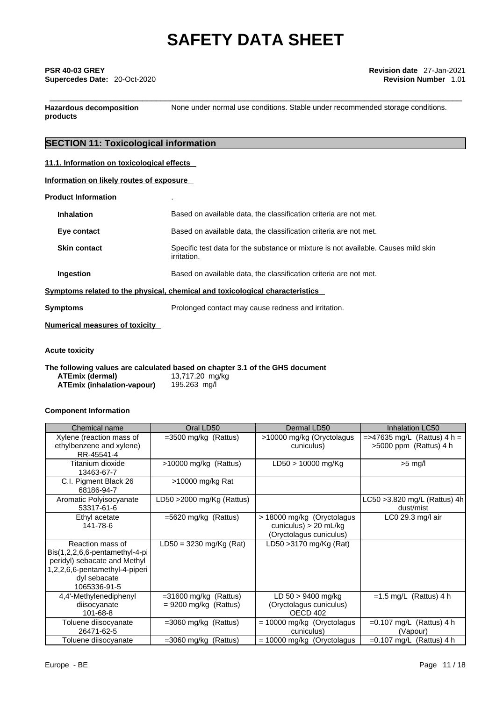## \_\_\_\_\_\_\_\_\_\_\_\_\_\_\_\_\_\_\_\_\_\_\_\_\_\_\_\_\_\_\_\_\_\_\_\_\_\_\_\_\_\_\_\_\_\_\_\_\_\_\_\_\_\_\_\_\_\_\_\_\_\_\_\_\_\_\_\_\_\_\_\_\_\_\_\_\_\_\_\_\_\_\_\_\_\_\_\_\_ **PSR 40-03 GREY Revision date** 27-Jan-2021 **Supercedes Date:** 20-Oct-2020 **Revision Number** 1.01

**Hazardous decomposition products** 

None under normal use conditions. Stable under recommended storage conditions.

## **SECTION 11: Toxicological information**

### **11.1. Information on toxicological effects**

|  | Information on likely routes of exposure |  |
|--|------------------------------------------|--|
|--|------------------------------------------|--|

| <b>Inhalation</b>                                                            | Based on available data, the classification criteria are not met.                                 |  |
|------------------------------------------------------------------------------|---------------------------------------------------------------------------------------------------|--|
| Eye contact                                                                  | Based on available data, the classification criteria are not met.                                 |  |
| <b>Skin contact</b>                                                          | Specific test data for the substance or mixture is not available. Causes mild skin<br>irritation. |  |
| Ingestion                                                                    | Based on available data, the classification criteria are not met.                                 |  |
| Symptoms related to the physical, chemical and toxicological characteristics |                                                                                                   |  |
|                                                                              |                                                                                                   |  |

**Symptoms Prolonged contact may cause redness and irritation.** 

**Numerical measures of toxicity**

**Acute toxicity** 

**The following values are calculated based on chapter 3.1 of the GHS document ATEmix (dermal)**13,717.20 mg/kg **ATEmix (inhalation-vapour)** 

### **Component Information**

| Chemical name                                                                                                                                                                  | Oral LD50                                          | Dermal LD50                                                                    | Inhalation LC50                                            |
|--------------------------------------------------------------------------------------------------------------------------------------------------------------------------------|----------------------------------------------------|--------------------------------------------------------------------------------|------------------------------------------------------------|
| Xylene (reaction mass of<br>ethylbenzene and xylene)<br>RR-45541-4                                                                                                             | $=3500$ mg/kg (Rattus)                             | >10000 mg/kg (Oryctolagus<br>cuniculus)                                        | $=$ >47635 mg/L (Rattus) 4 h =<br>$>5000$ ppm (Rattus) 4 h |
| Titanium dioxide<br>13463-67-7                                                                                                                                                 | $>10000$ mg/kg (Rattus)                            | $LD50 > 10000$ mg/Kg                                                           | $>5$ mg/l                                                  |
| C.I. Pigment Black 26<br>68186-94-7                                                                                                                                            | >10000 mg/kg Rat                                   |                                                                                |                                                            |
| Aromatic Polyisocyanate<br>53317-61-6                                                                                                                                          | LD50 $>$ 2000 mg/Kg (Rattus)                       |                                                                                | LC50 > 3.820 mg/L (Rattus) 4h<br>dust/mist                 |
| Ethyl acetate<br>141-78-6                                                                                                                                                      | $=5620$ mg/kg (Rattus)                             | > 18000 mg/kg (Oryctolagus<br>cuniculus) > 20 mL/kg<br>(Oryctolagus cuniculus) | LC0 29.3 mg/l air                                          |
| Reaction mass of<br>$\textsf{Bis}(1,2,2,6,6\text{-}pentamethyl-4\text{-}pi)$<br>peridyl) sebacate and Methyl<br>1,2,2,6,6-pentamethyl-4-piperi<br>dyl sebacate<br>1065336-91-5 | $LD50 = 3230$ mg/Kg (Rat)                          | LD50 > 3170 mg/Kg (Rat)                                                        |                                                            |
| 4,4'-Methylenediphenyl<br>diisocyanate<br>101-68-8                                                                                                                             | $=31600$ mg/kg (Rattus)<br>$= 9200$ mg/kg (Rattus) | $LD 50 > 9400$ mg/kg<br>(Oryctolagus cuniculus)<br>OECD 402                    | $=1.5$ mg/L (Rattus) 4 h                                   |
| Toluene diisocyanate<br>26471-62-5                                                                                                                                             | $=3060$ mg/kg (Rattus)                             | = 10000 mg/kg (Oryctolagus<br>cuniculus)                                       | $=0.107$ mg/L (Rattus) 4 h<br>(Vapour)                     |
| Toluene diisocyanate                                                                                                                                                           | =3060 mg/kg (Rattus)                               | $= 10000$ mg/kg (Oryctolagus                                                   | $=0.107$ mg/L (Rattus) 4 h                                 |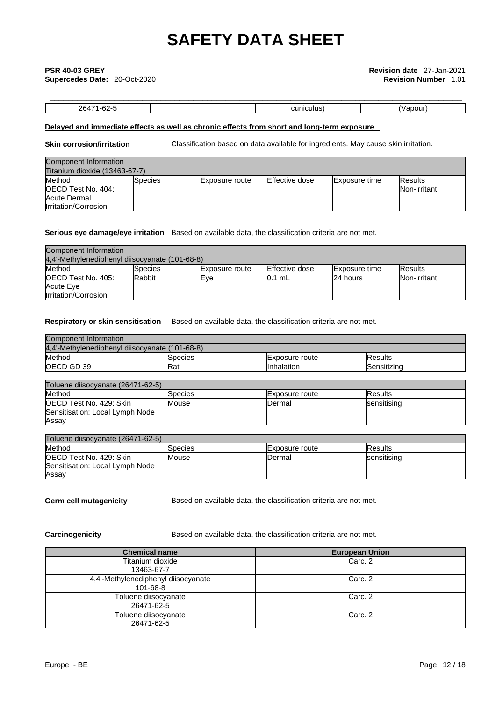# \_\_\_\_\_\_\_\_\_\_\_\_\_\_\_\_\_\_\_\_\_\_\_\_\_\_\_\_\_\_\_\_\_\_\_\_\_\_\_\_\_\_\_\_\_\_\_\_\_\_\_\_\_\_\_\_\_\_\_\_\_\_\_\_\_\_\_\_\_\_\_\_\_\_\_\_\_\_\_\_\_\_\_\_\_\_\_\_\_ **PSR 40-03 GREY Revision date** 27-Jan-2021

**Supercedes Date:** 20-Oct-2020 **Revision Number** 1.01

## 26471-62-5 cuniculus) (Vapour)

### **Delayed and immediate effects as well as chronic effects from short and long-term exposure**

**Skin corrosion/irritation** Classification based on data available for ingredients. May cause skin irritation.

| Component Information         |         |                        |                |                      |                |
|-------------------------------|---------|------------------------|----------------|----------------------|----------------|
| Titanium dioxide (13463-67-7) |         |                        |                |                      |                |
| Method                        | Species | <b>IExposure</b> route | Effective dose | <b>Exposure time</b> | <b>Results</b> |
| <b>OECD Test No. 404:</b>     |         |                        |                |                      | Non-irritant   |
| Acute Dermal                  |         |                        |                |                      |                |
| Irritation/Corrosion          |         |                        |                |                      |                |

### **Serious eye damage/eye irritation** Based on available data, the classification criteria are not met.

| Component Information                          |          |                        |                |                      |                |
|------------------------------------------------|----------|------------------------|----------------|----------------------|----------------|
| 4.4'-Methylenediphenyl diisocyanate (101-68-8) |          |                        |                |                      |                |
| Method                                         | ISpecies | <b>IExposure</b> route | Effective dose | <b>Exposure time</b> | <b>Results</b> |
| <b>IOECD Test No. 405:</b>                     | Rabbit   | lEve                   | l0.1 mL        | 24 hours             | Non-irritant   |
| Acute Eye                                      |          |                        |                |                      |                |
| <b>Irritation/Corrosion</b>                    |          |                        |                |                      |                |

### **Respiratory or skin sensitisation** Based on available data, the classification criteria are not met.

| Component Information                          |         |                       |                |
|------------------------------------------------|---------|-----------------------|----------------|
| 4,4'-Methylenediphenyl diisocyanate (101-68-8) |         |                       |                |
| Method                                         | Species | <b>Exposure route</b> | <b>Results</b> |
| <b>OECD GD 39</b>                              | lRat    | IInhalation           | lSensitizina   |

| Toluene diisocyanate (26471-62-5) |         |                |                     |  |
|-----------------------------------|---------|----------------|---------------------|--|
| Method                            | Species | Exposure route | <b>IResults</b>     |  |
| <b>OECD Test No. 429: Skin</b>    | Mouse   | <b>IDermal</b> | <b>Isensitising</b> |  |
| Sensitisation: Local Lymph Node   |         |                |                     |  |
| Assay                             |         |                |                     |  |

| Toluene diisocvanate (26471-62-5) |              |                 |                     |
|-----------------------------------|--------------|-----------------|---------------------|
| Method                            | Species      | IExposure route | <b>IResults</b>     |
| OECD Test No. 429: Skin           | <b>Mouse</b> | Dermal          | <b>Isensitising</b> |
| Sensitisation: Local Lymph Node   |              |                 |                     |
| Assay                             |              |                 |                     |

**Germ cell mutagenicity** Based on available data, the classification criteria are not met.

**Carcinogenicity** Based on available data, the classification criteria are not met.

| <b>Chemical name</b>                            | <b>European Union</b> |
|-------------------------------------------------|-----------------------|
| Titanium dioxide<br>13463-67-7                  | Carc. 2               |
| 4,4'-Methylenediphenyl diisocyanate<br>101-68-8 | Carc. 2               |
| Toluene diisocyanate<br>26471-62-5              | Carc. 2               |
| Toluene diisocyanate<br>26471-62-5              | Carc. 2               |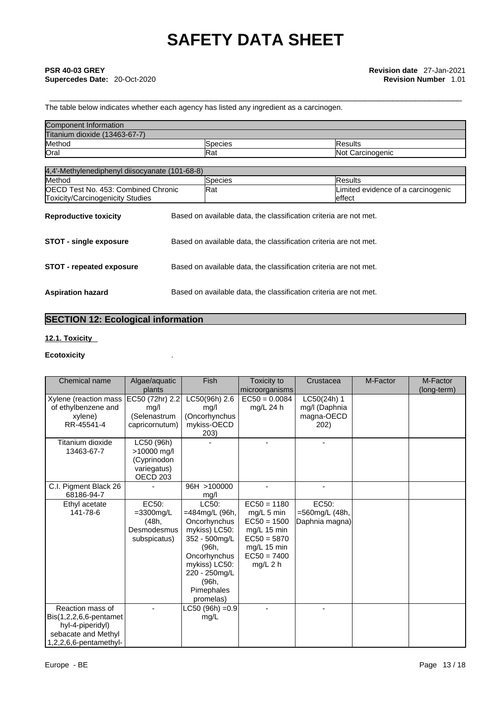The table below indicates whether each agency has listed any ingredient as a carcinogen.

| Component Information         |                 |                         |
|-------------------------------|-----------------|-------------------------|
| Titanium dioxide (13463-67-7) |                 |                         |
| Method                        | <b>S</b> pecies | <b>IResults</b>         |
| Orai                          | <b>IRat</b>     | <b>Not Carcinogenic</b> |

| 4,4'-Methylenediphenyl diisocyanate (101-68-8)                                  |  |                                                                   |                                               |  |  |
|---------------------------------------------------------------------------------|--|-------------------------------------------------------------------|-----------------------------------------------|--|--|
| Method                                                                          |  | Species                                                           | <b>Results</b>                                |  |  |
| <b>IOECD Test No. 453: Combined Chronic</b><br>Toxicity/Carcinogenicity Studies |  | Rat                                                               | Limited evidence of a carcinogenic<br>leffect |  |  |
| <b>Reproductive toxicity</b>                                                    |  | Based on available data, the classification criteria are not met. |                                               |  |  |
| <b>STOT - single exposure</b>                                                   |  | Based on available data, the classification criteria are not met. |                                               |  |  |
| <b>STOT - repeated exposure</b>                                                 |  | Based on available data, the classification criteria are not met. |                                               |  |  |
| <b>Aspiration hazard</b>                                                        |  | Based on available data, the classification criteria are not met. |                                               |  |  |

## **SECTION 12: Ecological information**

### **12.1. Toxicity**

### **Ecotoxicity** .

| Chemical name                                                                                                   | Algae/aquatic                                                              | Fish                                                                                                                                                                     | Toxicity to                                                                                                                | Crustacea                                          | M-Factor | M-Factor    |
|-----------------------------------------------------------------------------------------------------------------|----------------------------------------------------------------------------|--------------------------------------------------------------------------------------------------------------------------------------------------------------------------|----------------------------------------------------------------------------------------------------------------------------|----------------------------------------------------|----------|-------------|
|                                                                                                                 | plants                                                                     |                                                                                                                                                                          | microorganisms                                                                                                             |                                                    |          | (long-term) |
| Xylene (reaction mass<br>of ethylbenzene and<br>xylene)<br>RR-45541-4                                           | EC50 (72hr) 2.2<br>mg/l<br>(Selenastrum<br>capricornutum)                  | LC50(96h) 2.6<br>mq/l<br>(Oncorhynchus<br>mykiss-OECD<br>203)                                                                                                            | $EC50 = 0.0084$<br>mg/L 24 h                                                                                               | LC50(24h) 1<br>mg/l (Daphnia<br>magna-OECD<br>202) |          |             |
| Titanium dioxide<br>13463-67-7                                                                                  | LC50 (96h)<br>>10000 mg/l<br>(Cyprinodon<br>variegatus)<br><b>OECD 203</b> |                                                                                                                                                                          |                                                                                                                            |                                                    |          |             |
| C.I. Pigment Black 26<br>68186-94-7                                                                             |                                                                            | 96H >100000<br>mq/l                                                                                                                                                      |                                                                                                                            |                                                    |          |             |
| Ethyl acetate<br>141-78-6                                                                                       | EC50:<br>$=$ 3300mg/L<br>(48h,<br>Desmodesmus<br>subspicatus)              | LC50:<br>=484mg/L (96h,<br>Oncorhynchus<br>mykiss) LC50:<br>352 - 500mg/L<br>(96h,<br>Oncorhynchus<br>mykiss) LC50:<br>220 - 250mg/L<br>(96h,<br>Pimephales<br>promelas) | $EC50 = 1180$<br>mg/L 5 min<br>$EC50 = 1500$<br>mg/L 15 min<br>$EC50 = 5870$<br>mg/L 15 min<br>$EC50 = 7400$<br>$mg/L$ 2 h | EC50:<br>=560mg/L (48h,<br>Daphnia magna)          |          |             |
| Reaction mass of<br>Bis(1,2,2,6,6-pentamet<br>hyl-4-piperidyl)<br>sebacate and Methyl<br>1,2,2,6,6-pentamethyl- |                                                                            | $LC50 (96h) = 0.9$<br>mg/L                                                                                                                                               |                                                                                                                            |                                                    |          |             |
| Europe - BE                                                                                                     |                                                                            |                                                                                                                                                                          |                                                                                                                            |                                                    |          | Page 13/18  |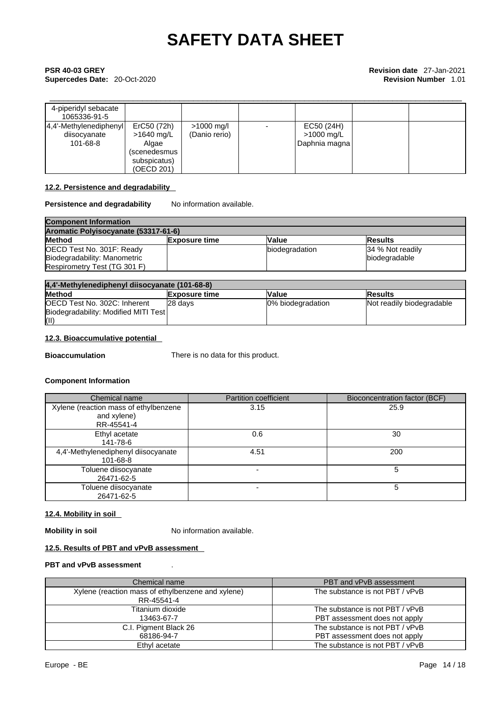## \_\_\_\_\_\_\_\_\_\_\_\_\_\_\_\_\_\_\_\_\_\_\_\_\_\_\_\_\_\_\_\_\_\_\_\_\_\_\_\_\_\_\_\_\_\_\_\_\_\_\_\_\_\_\_\_\_\_\_\_\_\_\_\_\_\_\_\_\_\_\_\_\_\_\_\_\_\_\_\_\_\_\_\_\_\_\_\_\_ **PSR 40-03 GREY Revision date** 27-Jan-2021 **Supercedes Date:** 20-Oct-2020 **Revision Number** 1.01

| 4-piperidyl sebacate<br>1065336-91-5               |                                                                                    |                               |                                           |  |
|----------------------------------------------------|------------------------------------------------------------------------------------|-------------------------------|-------------------------------------------|--|
| 4,4'-Methylenediphenyl<br>diisocyanate<br>101-68-8 | ErC50 (72h)<br>$>1640$ mg/L<br>Algae<br>(scenedesmus<br>subspicatus)<br>(OECD 201) | $>1000$ mg/l<br>(Danio rerio) | EC50 (24H)<br>>1000 mg/L<br>Daphnia magna |  |

### **12.2. Persistence and degradability**

### **Persistence and degradability** No information available.

| <b>Component Information</b>         |                |                |                   |  |
|--------------------------------------|----------------|----------------|-------------------|--|
| Aromatic Polyisocyanate (53317-61-6) |                |                |                   |  |
| <b>Method</b>                        | lExposure time | <b>Value</b>   | lResults          |  |
| OECD Test No. 301F: Ready            |                | biodegradation | 134 % Not readily |  |
| Biodegradability: Manometric         |                |                | biodegradable     |  |
| Respirometry Test (TG 301 F)         |                |                |                   |  |

| 4,4'-Methylenediphenyl diisocyanate (101-68-8) |                      |                   |                           |
|------------------------------------------------|----------------------|-------------------|---------------------------|
| <b>Method</b>                                  | <b>Exposure time</b> | Value             | <b>Results</b>            |
| OECD Test No. 302C: Inherent                   | 28 davs              | 0% biodegradation | Not readily biodegradable |
| Biodegradability: Modified MITI Test           |                      |                   |                           |
| (II)                                           |                      |                   |                           |

### **12.3. Bioaccumulative potential**

**Bioaccumulation** There is no data for this product.

### **Component Information**

| Chemical name                                                      | <b>Partition coefficient</b> | Bioconcentration factor (BCF) |
|--------------------------------------------------------------------|------------------------------|-------------------------------|
| Xylene (reaction mass of ethylbenzene<br>and xylene)<br>RR-45541-4 | 3.15                         | 25.9                          |
| Ethyl acetate<br>141-78-6                                          | 0.6                          | 30                            |
| 4,4'-Methylenediphenyl diisocyanate<br>101-68-8                    | 4.51                         | 200                           |
| Toluene diisocyanate<br>26471-62-5                                 |                              | 5                             |
| Toluene diisocyanate<br>26471-62-5                                 |                              | 5                             |

### **12.4. Mobility in soil**

**Mobility in soil** No information available.

### **12.5. Results of PBT and vPvB assessment**

### **PBT and vPvB assessment** .

| Chemical name                                                   | PBT and vPvB assessment                                          |
|-----------------------------------------------------------------|------------------------------------------------------------------|
| Xylene (reaction mass of ethylbenzene and xylene)<br>RR-45541-4 | The substance is not PBT / vPvB                                  |
| Titanium dioxide<br>13463-67-7                                  | The substance is not PBT / vPvB<br>PBT assessment does not apply |
| C.I. Pigment Black 26<br>68186-94-7                             | The substance is not PBT / vPvB<br>PBT assessment does not apply |
| Ethyl acetate                                                   | The substance is not PBT / vPvB                                  |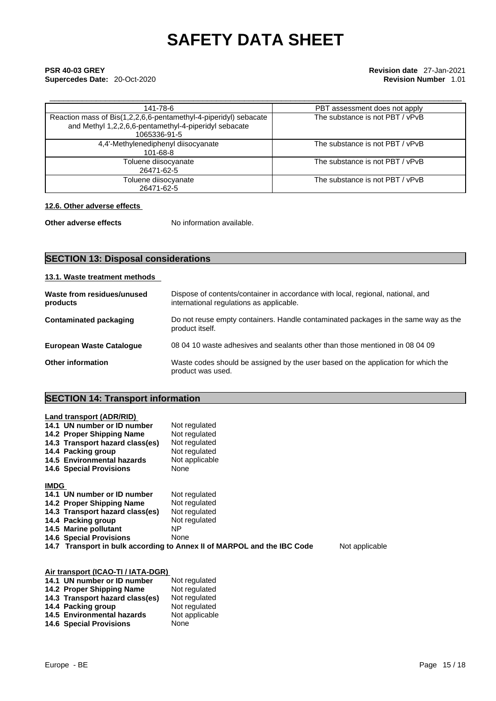## \_\_\_\_\_\_\_\_\_\_\_\_\_\_\_\_\_\_\_\_\_\_\_\_\_\_\_\_\_\_\_\_\_\_\_\_\_\_\_\_\_\_\_\_\_\_\_\_\_\_\_\_\_\_\_\_\_\_\_\_\_\_\_\_\_\_\_\_\_\_\_\_\_\_\_\_\_\_\_\_\_\_\_\_\_\_\_\_\_ **PSR 40-03 GREY Revision date** 27-Jan-2021 **Supercedes Date:** 20-Oct-2020 **Revision Number** 1.01

| 141-78-6                                                                                                                                  | PBT assessment does not apply   |
|-------------------------------------------------------------------------------------------------------------------------------------------|---------------------------------|
| Reaction mass of Bis(1,2,2,6,6-pentamethyl-4-piperidyl) sebacate<br>and Methyl 1,2,2,6,6-pentamethyl-4-piperidyl sebacate<br>1065336-91-5 | The substance is not PBT / vPvB |
| 4,4'-Methylenediphenyl diisocyanate<br>101-68-8                                                                                           | The substance is not PBT / vPvB |
| Toluene diisocyanate<br>26471-62-5                                                                                                        | The substance is not PBT / vPvB |
| Toluene diisocyanate<br>26471-62-5                                                                                                        | The substance is not PBT / vPvB |

### **12.6. Other adverse effects**

**Other adverse effects** No information available.

## **SECTION 13: Disposal considerations**

### **13.1. Waste treatment methods Waste from residues/unused products**  Dispose of contents/container in accordance with local, regional, national, and international regulations as applicable. **Contaminated packaging** Do not reuse empty containers. Handle contaminated packages in the same way as the product itself. **European Waste Catalogue** 08 04 10 waste adhesives and sealants other than those mentioned in 08 04 09 **Other information** Waste codes should be assigned by the user based on the application for which the product was used.

## **SECTION 14: Transport information**

**14.6 Special Provisions** None

| <b>Land transport (ADR/RID)</b>                                                           |                |  |
|-------------------------------------------------------------------------------------------|----------------|--|
| 14.1 UN number or ID number                                                               | Not regulated  |  |
| 14.2 Proper Shipping Name                                                                 | Not regulated  |  |
| 14.3 Transport hazard class(es)                                                           | Not regulated  |  |
| 14.4 Packing group                                                                        | Not regulated  |  |
| 14.5 Environmental hazards                                                                | Not applicable |  |
| <b>14.6 Special Provisions</b>                                                            | None           |  |
|                                                                                           |                |  |
| <b>IMDG</b>                                                                               |                |  |
| 14.1 UN number or ID number                                                               | Not regulated  |  |
| 14.2 Proper Shipping Name                                                                 | Not regulated  |  |
| 14.3 Transport hazard class(es)                                                           | Not regulated  |  |
| 14.4 Packing group                                                                        | Not regulated  |  |
| 14.5 Marine pollutant                                                                     | ΝP             |  |
| <b>14.6 Special Provisions</b>                                                            | None           |  |
| Not applicable<br>14.7 Transport in bulk according to Annex II of MARPOL and the IBC Code |                |  |
|                                                                                           |                |  |
| Air transport (ICAO-TI / IATA-DGR)                                                        |                |  |
| 14.1 UN number or ID number                                                               | Not regulated  |  |
| 14.2 Proper Shipping Name                                                                 | Not regulated  |  |
| 14.3 Transport hazard class(es)                                                           | Not regulated  |  |
| 14.4 Packing group                                                                        | Not regulated  |  |
| 14.5 Environmental hazards                                                                | Not applicable |  |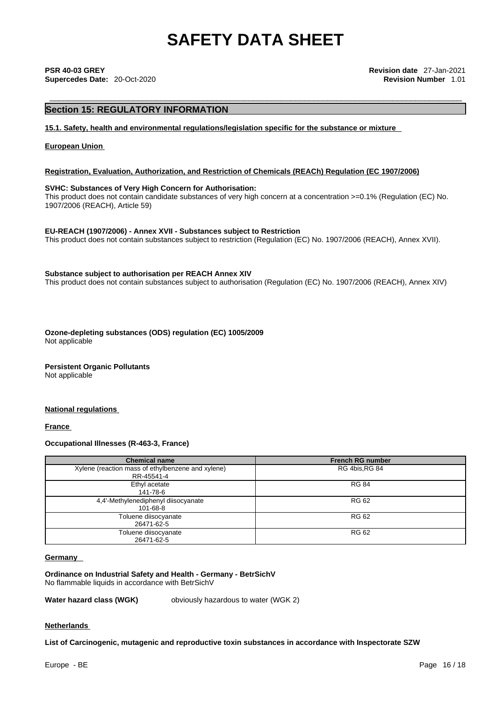### **Section 15: REGULATORY INFORMATION**

**15.1. Safety, health and environmental regulations/legislation specific for the substance or mixture**

### **European Union**

### **Registration, Evaluation, Authorization, and Restriction of Chemicals (REACh) Regulation (EC 1907/2006)**

### **SVHC: Substances of Very High Concern for Authorisation:**

This product does not contain candidate substances of very high concern at a concentration >=0.1% (Regulation (EC) No. 1907/2006 (REACH), Article 59)

**EU-REACH (1907/2006) - Annex XVII - Substances subject to Restriction**

This product does not contain substances subject to restriction (Regulation (EC) No. 1907/2006 (REACH), Annex XVII).

### **Substance subject to authorisation per REACH Annex XIV**

This product does not contain substances subject to authorisation (Regulation (EC) No. 1907/2006 (REACH), Annex XIV)

**Ozone-depleting substances (ODS) regulation (EC) 1005/2009** Not applicable

**Persistent Organic Pollutants** Not applicable

### **National regulations**

**France** 

### **Occupational Illnesses (R-463-3, France)**

| <b>Chemical name</b>                              | <b>French RG number</b> |
|---------------------------------------------------|-------------------------|
| Xylene (reaction mass of ethylbenzene and xylene) | RG 4bis, RG 84          |
| RR-45541-4                                        |                         |
| Ethyl acetate                                     | <b>RG 84</b>            |
| 141-78-6                                          |                         |
| 4,4'-Methylenediphenyl diisocyanate               | <b>RG 62</b>            |
| 101-68-8                                          |                         |
| Toluene diisocyanate                              | <b>RG 62</b>            |
| 26471-62-5                                        |                         |
| Toluene diisocyanate                              | <b>RG 62</b>            |
| 26471-62-5                                        |                         |

### **Germany**

**Ordinance on Industrial Safety and Health - Germany - BetrSichV** No flammable liquids in accordance with BetrSichV

**Water hazard class (WGK)** obviously hazardous to water (WGK 2)

### **Netherlands**

**List of Carcinogenic, mutagenic and reproductive toxin substances in accordance with Inspectorate SZW**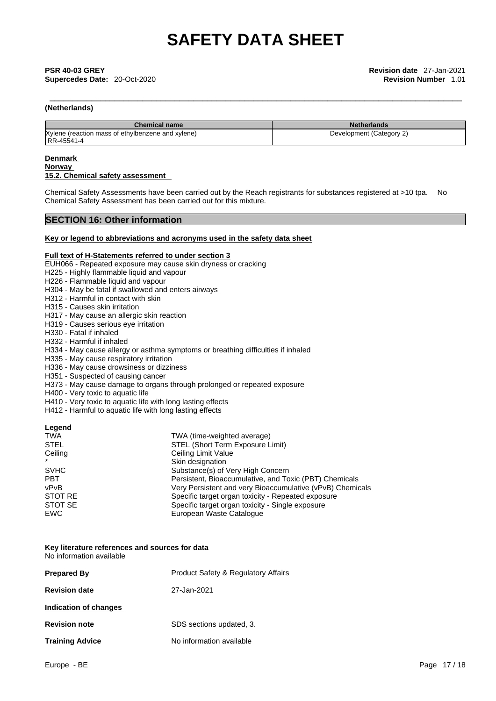## \_\_\_\_\_\_\_\_\_\_\_\_\_\_\_\_\_\_\_\_\_\_\_\_\_\_\_\_\_\_\_\_\_\_\_\_\_\_\_\_\_\_\_\_\_\_\_\_\_\_\_\_\_\_\_\_\_\_\_\_\_\_\_\_\_\_\_\_\_\_\_\_\_\_\_\_\_\_\_\_\_\_\_\_\_\_\_\_\_ **PSR 40-03 GREY Revision date** 27-Jan-2021 **Supercedes Date:** 20-Oct-2020 **Revision Number** 1.01

### **(Netherlands)**

| <b>Chemical name</b>                              | <b>Netherlands</b>       |
|---------------------------------------------------|--------------------------|
| Xylene (reaction mass of ethylbenzene and xylene) | Development (Category 2) |
| RR-45541-4                                        |                          |

### **Denmark**

### **Norway 15.2. Chemical safety assessment**

Chemical Safety Assessments have been carried out by the Reach registrants for substances registered at >10 tpa. No Chemical Safety Assessment has been carried out for this mixture.

### **SECTION 16: Other information**

### **Key or legend to abbreviations and acronyms used in the safety data sheet**

### **Full text of H-Statements referred to under section 3**

EUH066 - Repeated exposure may cause skin dryness or cracking

- H225 Highly flammable liquid and vapour
- H226 Flammable liquid and vapour
- H304 May be fatal if swallowed and enters airways
- H312 Harmful in contact with skin
- H315 Causes skin irritation
- H317 May cause an allergic skin reaction
- H319 Causes serious eye irritation
- H330 Fatal if inhaled
- H332 Harmful if inhaled
- H334 May cause allergy or asthma symptoms or breathing difficulties if inhaled
- H335 May cause respiratory irritation
- H336 May cause drowsiness or dizziness
- H351 Suspected of causing cancer
- H373 May cause damage to organs through prolonged or repeated exposure
- H400 Very toxic to aquatic life
- H410 Very toxic to aquatic life with long lasting effects
- H412 Harmful to aquatic life with long lasting effects

### **Legend**

| <b>TWA</b>  | TWA (time-weighted average)                               |
|-------------|-----------------------------------------------------------|
| <b>STEL</b> | STEL (Short Term Exposure Limit)                          |
| Ceiling     | Ceiling Limit Value                                       |
|             | Skin designation                                          |
| <b>SVHC</b> | Substance(s) of Very High Concern                         |
| <b>PBT</b>  | Persistent, Bioaccumulative, and Toxic (PBT) Chemicals    |
| vPvB        | Very Persistent and very Bioaccumulative (vPvB) Chemicals |
| STOT RE     | Specific target organ toxicity - Repeated exposure        |
| STOT SE     | Specific target organ toxicity - Single exposure          |
| EWC         | European Waste Catalogue                                  |

### **Key literature references and sources for data** No information available

| <b>Prepared By</b>     | <b>Product Safety &amp; Regulatory Affairs</b> |
|------------------------|------------------------------------------------|
| <b>Revision date</b>   | 27-Jan-2021                                    |
| Indication of changes  |                                                |
| <b>Revision note</b>   | SDS sections updated, 3.                       |
| <b>Training Advice</b> | No information available                       |